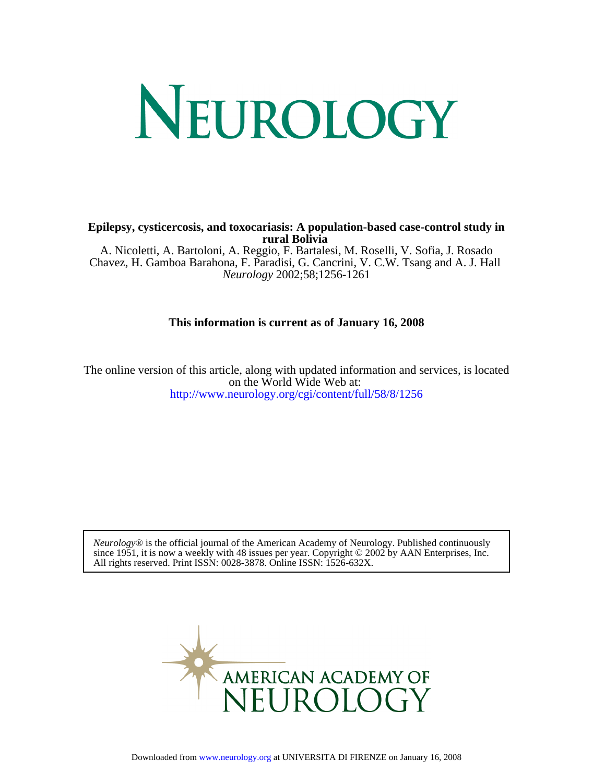# NEUROLOGY

**rural Bolivia Epilepsy, cysticercosis, and toxocariasis: A population-based case-control study in**

*Neurology* 2002;58;1256-1261 Chavez, H. Gamboa Barahona, F. Paradisi, G. Cancrini, V. C.W. Tsang and A. J. Hall A. Nicoletti, A. Bartoloni, A. Reggio, F. Bartalesi, M. Roselli, V. Sofia, J. Rosado

### **This information is current as of January 16, 2008**

<http://www.neurology.org/cgi/content/full/58/8/1256> on the World Wide Web at: The online version of this article, along with updated information and services, is located

All rights reserved. Print ISSN: 0028-3878. Online ISSN: 1526-632X. since 1951, it is now a weekly with 48 issues per year. Copyright  $\odot$  2002 by AAN Enterprises, Inc. *Neurology*® is the official journal of the American Academy of Neurology. Published continuously

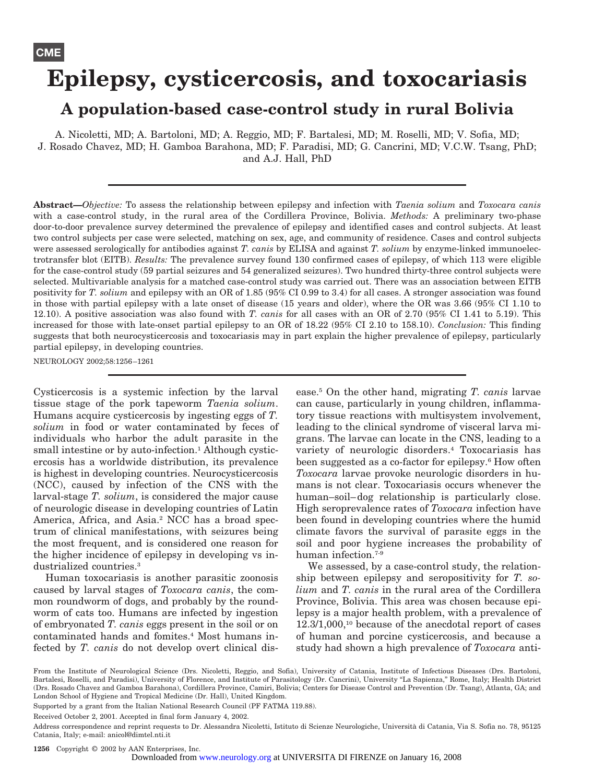# **Epilepsy, cysticercosis, and toxocariasis A population-based case-control study in rural Bolivia**

A. Nicoletti, MD; A. Bartoloni, MD; A. Reggio, MD; F. Bartalesi, MD; M. Roselli, MD; V. Sofia, MD; J. Rosado Chavez, MD; H. Gamboa Barahona, MD; F. Paradisi, MD; G. Cancrini, MD; V.C.W. Tsang, PhD; and A.J. Hall, PhD

**Abstract—***Objective:* To assess the relationship between epilepsy and infection with *Taenia solium* and *Toxocara canis* with a case-control study, in the rural area of the Cordillera Province, Bolivia. *Methods:* A preliminary two-phase door-to-door prevalence survey determined the prevalence of epilepsy and identified cases and control subjects. At least two control subjects per case were selected, matching on sex, age, and community of residence. Cases and control subjects were assessed serologically for antibodies against *T. canis* by ELISA and against *T. solium* by enzyme-linked immunoelectrotransfer blot (EITB). *Results:* The prevalence survey found 130 confirmed cases of epilepsy, of which 113 were eligible for the case-control study (59 partial seizures and 54 generalized seizures). Two hundred thirty-three control subjects were selected. Multivariable analysis for a matched case-control study was carried out. There was an association between EITB positivity for *T. solium* and epilepsy with an OR of 1.85 (95% CI 0.99 to 3.4) for all cases. A stronger association was found in those with partial epilepsy with a late onset of disease (15 years and older), where the OR was 3.66 (95% CI 1.10 to 12.10). A positive association was also found with *T. canis* for all cases with an OR of 2.70 (95% CI 1.41 to 5.19). This increased for those with late-onset partial epilepsy to an OR of 18.22 (95% CI 2.10 to 158.10). *Conclusion:* This finding suggests that both neurocysticercosis and toxocariasis may in part explain the higher prevalence of epilepsy, particularly partial epilepsy, in developing countries.

NEUROLOGY 2002;58:1256–1261

Cysticercosis is a systemic infection by the larval tissue stage of the pork tapeworm *Taenia solium*. Humans acquire cysticercosis by ingesting eggs of *T. solium* in food or water contaminated by feces of individuals who harbor the adult parasite in the small intestine or by auto-infection.<sup>1</sup> Although cysticercosis has a worldwide distribution, its prevalence is highest in developing countries. Neurocysticercosis (NCC), caused by infection of the CNS with the larval-stage *T. solium*, is considered the major cause of neurologic disease in developing countries of Latin America, Africa, and Asia.2 NCC has a broad spectrum of clinical manifestations, with seizures being the most frequent, and is considered one reason for the higher incidence of epilepsy in developing vs industrialized countries.3

Human toxocariasis is another parasitic zoonosis caused by larval stages of *Toxocara canis*, the common roundworm of dogs, and probably by the roundworm of cats too. Humans are infected by ingestion of embryonated *T. canis* eggs present in the soil or on contaminated hands and fomites.4 Most humans infected by *T. canis* do not develop overt clinical disease.5 On the other hand, migrating *T. canis* larvae can cause, particularly in young children, inflammatory tissue reactions with multisystem involvement, leading to the clinical syndrome of visceral larva migrans. The larvae can locate in the CNS, leading to a variety of neurologic disorders.4 Toxocariasis has been suggested as a co-factor for epilepsy.<sup>6</sup> How often *Toxocara* larvae provoke neurologic disorders in humans is not clear. Toxocariasis occurs whenever the human–soil–dog relationship is particularly close. High seroprevalence rates of *Toxocara* infection have been found in developing countries where the humid climate favors the survival of parasite eggs in the soil and poor hygiene increases the probability of human infection.<sup>7-9</sup>

We assessed, by a case-control study, the relationship between epilepsy and seropositivity for *T. solium* and *T. canis* in the rural area of the Cordillera Province, Bolivia. This area was chosen because epilepsy is a major health problem, with a prevalence of 12.3/1,000,10 because of the anecdotal report of cases of human and porcine cysticercosis, and because a study had shown a high prevalence of *Toxocara* anti-

Supported by a grant from the Italian National Research Council (PF FATMA 119.88).

Received October 2, 2001. Accepted in final form January 4, 2002.

**1256** Copyright © 2002 by AAN Enterprises, Inc.

Downloaded from [www.neurology.org](http://www.neurology.org) at UNIVERSITA DI FIRENZE on January 16, 2008

From the Institute of Neurological Science (Drs. Nicoletti, Reggio, and Sofia), University of Catania, Institute of Infectious Diseases (Drs. Bartoloni, Bartalesi, Roselli, and Paradisi), University of Florence, and Institute of Parasitology (Dr. Cancrini), University "La Sapienza," Rome, Italy; Health District (Drs. Rosado Chavez and Gamboa Barahona), Cordillera Province, Camiri, Bolivia; Centers for Disease Control and Prevention (Dr. Tsang), Atlanta, GA; and London School of Hygiene and Tropical Medicine (Dr. Hall), United Kingdom.

Address correspondence and reprint requests to Dr. Alessandra Nicoletti, Istituto di Scienze Neurologiche, Università di Catania, Via S. Sofia no. 78, 95125 Catania, Italy; e-mail: anicol@dimtel.nti.it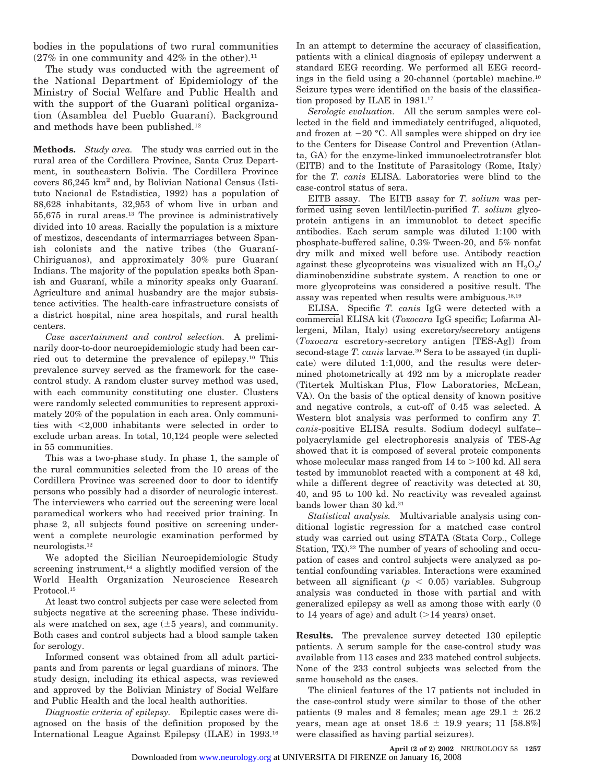bodies in the populations of two rural communities  $(27\%$  in one community and  $42\%$  in the other).<sup>11</sup>

The study was conducted with the agreement of the National Department of Epidemiology of the Ministry of Social Welfare and Public Health and with the support of the Guaranì political organization (Asamblea del Pueblo Guaraní). Background and methods have been published.12

**Methods.** *Study area.* The study was carried out in the rural area of the Cordillera Province, Santa Cruz Department, in southeastern Bolivia. The Cordillera Province covers 86,245 km2 and, by Bolivian National Census (Istituto Nacional de Estadistica, 1992) has a population of 88,628 inhabitants, 32,953 of whom live in urban and 55,675 in rural areas.13 The province is administratively divided into 10 areas. Racially the population is a mixture of mestizos, descendants of intermarriages between Spanish colonists and the native tribes (the Guaraní-Chiriguanos), and approximately 30% pure Guaraní Indians. The majority of the population speaks both Spanish and Guaraní, while a minority speaks only Guaraní. Agriculture and animal husbandry are the major subsistence activities. The health-care infrastructure consists of a district hospital, nine area hospitals, and rural health centers.

*Case ascertainment and control selection.* A preliminarily door-to-door neuroepidemiologic study had been carried out to determine the prevalence of epilepsy.10 This prevalence survey served as the framework for the casecontrol study. A random cluster survey method was used, with each community constituting one cluster. Clusters were randomly selected communities to represent approximately 20% of the population in each area. Only communities with 2,000 inhabitants were selected in order to exclude urban areas. In total, 10,124 people were selected in 55 communities.

This was a two-phase study. In phase 1, the sample of the rural communities selected from the 10 areas of the Cordillera Province was screened door to door to identify persons who possibly had a disorder of neurologic interest. The interviewers who carried out the screening were local paramedical workers who had received prior training. In phase 2, all subjects found positive on screening underwent a complete neurologic examination performed by neurologists.12

We adopted the Sicilian Neuroepidemiologic Study screening instrument,<sup>14</sup> a slightly modified version of the World Health Organization Neuroscience Research Protocol.<sup>15</sup>

At least two control subjects per case were selected from subjects negative at the screening phase. These individuals were matched on sex, age  $(\pm 5$  years), and community. Both cases and control subjects had a blood sample taken for serology.

Informed consent was obtained from all adult participants and from parents or legal guardians of minors. The study design, including its ethical aspects, was reviewed and approved by the Bolivian Ministry of Social Welfare and Public Health and the local health authorities.

*Diagnostic criteria of epilepsy.* Epileptic cases were diagnosed on the basis of the definition proposed by the International League Against Epilepsy (ILAE) in 1993.16 In an attempt to determine the accuracy of classification, patients with a clinical diagnosis of epilepsy underwent a standard EEG recording. We performed all EEG recordings in the field using a 20-channel (portable) machine.<sup>10</sup> Seizure types were identified on the basis of the classification proposed by ILAE in 1981.17

*Serologic evaluation.* All the serum samples were collected in the field and immediately centrifuged, aliquoted, and frozen at  $-20$  °C. All samples were shipped on dry ice to the Centers for Disease Control and Prevention (Atlanta, GA) for the enzyme-linked immunoelectrotransfer blot (EITB) and to the Institute of Parasitology (Rome, Italy) for the *T. canis* ELISA. Laboratories were blind to the case-control status of sera.

EITB assay. The EITB assay for *T. solium* was performed using seven lentil/lectin-purified *T. solium* glycoprotein antigens in an immunoblot to detect specific antibodies. Each serum sample was diluted 1:100 with phosphate-buffered saline, 0.3% Tween-20, and 5% nonfat dry milk and mixed well before use. Antibody reaction against these glycoproteins was visualized with an  $H_2O_2/$ diaminobenzidine substrate system. A reaction to one or more glycoproteins was considered a positive result. The assay was repeated when results were ambiguous.18,19

ELISA. Specific *T. canis* IgG were detected with a commercial ELISA kit (*Toxocara* IgG specific; Lofarma Allergeni, Milan, Italy) using excretory/secretory antigens (*Toxocara* escretory-secretory antigen [TES-Ag]) from second-stage *T. canis* larvae.<sup>20</sup> Sera to be assayed (in duplicate) were diluted 1:1,000, and the results were determined photometrically at 492 nm by a microplate reader (Titertek Multiskan Plus, Flow Laboratories, McLean, VA). On the basis of the optical density of known positive and negative controls, a cut-off of 0.45 was selected. A Western blot analysis was performed to confirm any *T. canis*-positive ELISA results. Sodium dodecyl sulfate– polyacrylamide gel electrophoresis analysis of TES-Ag showed that it is composed of several proteic components whose molecular mass ranged from  $14$  to  $>100$  kd. All sera tested by immunoblot reacted with a component at 48 kd, while a different degree of reactivity was detected at 30, 40, and 95 to 100 kd. No reactivity was revealed against bands lower than 30 kd.<sup>21</sup>

*Statistical analysis.* Multivariable analysis using conditional logistic regression for a matched case control study was carried out using STATA (Stata Corp., College Station, TX).<sup>22</sup> The number of years of schooling and occupation of cases and control subjects were analyzed as potential confounding variables. Interactions were examined between all significant  $(p < 0.05)$  variables. Subgroup analysis was conducted in those with partial and with generalized epilepsy as well as among those with early (0 to 14 years of age) and adult  $(>14$  years) onset.

**Results.** The prevalence survey detected 130 epileptic patients. A serum sample for the case-control study was available from 113 cases and 233 matched control subjects. None of the 233 control subjects was selected from the same household as the cases.

The clinical features of the 17 patients not included in the case-control study were similar to those of the other patients (9 males and 8 females; mean age  $29.1 \pm 26.2$ years, mean age at onset  $18.6 \pm 19.9$  years;  $11\ [58.8\%]$ were classified as having partial seizures).

**April (2 of 2) 2002** NEUROLOGY 58 **1257** Downloaded from [www.neurology.org](http://www.neurology.org) at UNIVERSITA DI FIRENZE on January 16, 2008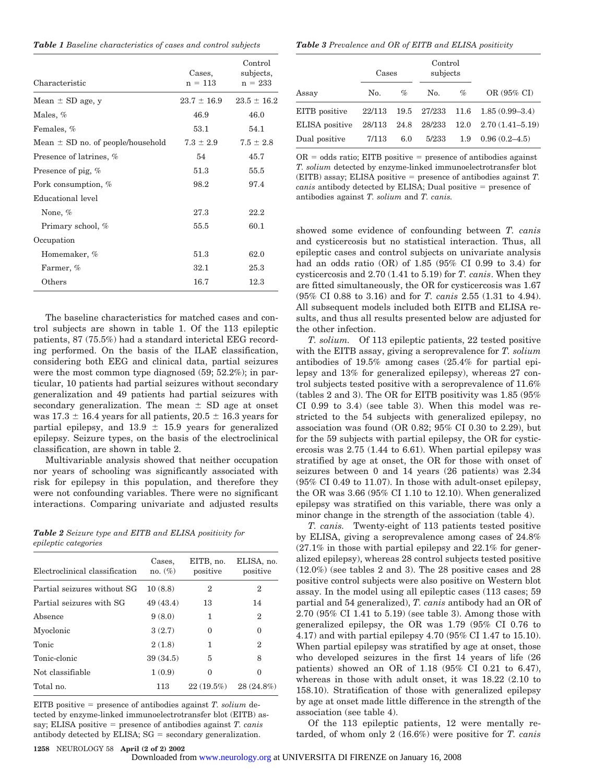*Table 1 Baseline characteristics of cases and control subjects*

| Characteristic                        | Cases,<br>$n = 113$ | Control<br>subjects,<br>$n = 233$ |
|---------------------------------------|---------------------|-----------------------------------|
| Mean $\pm$ SD age, y                  | $23.7 \pm 16.9$     | $23.5 \pm 16.2$                   |
| Males, %                              | 46.9                | 46.0                              |
| Females, %                            | 53.1                | 54.1                              |
| Mean $\pm$ SD no. of people/household | $7.3 \pm 2.9$       | $7.5 \pm 2.8$                     |
| Presence of latrines, %               | 54                  | 45.7                              |
| Presence of pig, %                    | 51.3                | 55.5                              |
| Pork consumption, %                   | 98.2                | 97.4                              |
| Educational level                     |                     |                                   |
| None, $%$                             | 27.3                | 22.2                              |
| Primary school, %                     | 55.5                | 60.1                              |
| Occupation                            |                     |                                   |
| Homemaker, %                          | 51.3                | 62.0                              |
| Farmer, %                             | 32.1                | 25.3                              |
| Others                                | 16.7                | 12.3                              |

The baseline characteristics for matched cases and control subjects are shown in table 1. Of the 113 epileptic patients, 87 (75.5%) had a standard interictal EEG recording performed. On the basis of the ILAE classification, considering both EEG and clinical data, partial seizures were the most common type diagnosed (59; 52.2%); in particular, 10 patients had partial seizures without secondary generalization and 49 patients had partial seizures with secondary generalization. The mean  $\pm$  SD age at onset was 17.3  $\pm$  16.4 years for all patients, 20.5  $\pm$  16.3 years for partial epilepsy, and  $13.9 \pm 15.9$  years for generalized epilepsy. Seizure types, on the basis of the electroclinical classification, are shown in table 2.

Multivariable analysis showed that neither occupation nor years of schooling was significantly associated with risk for epilepsy in this population, and therefore they were not confounding variables. There were no significant interactions. Comparing univariate and adjusted results

|                      |  |  |  | <b>Table 2</b> Seizure type and EITB and ELISA positivity for |  |
|----------------------|--|--|--|---------------------------------------------------------------|--|
| epileptic categories |  |  |  |                                                               |  |

| Electroclinical classification | Cases.<br>no. $(\%)$ | EITB, no.<br>positive | ELISA, no.<br>positive |
|--------------------------------|----------------------|-----------------------|------------------------|
| Partial seizures without SG    | 10(8.8)              | 2                     | 2                      |
| Partial seizures with SG       | 49(43.4)             | 13                    | 14                     |
| Absence                        | 9(8.0)               | 1                     | 2                      |
| Myoclonic                      | 3(2.7)               | 0                     | $\Omega$               |
| Tonic                          | 2(1.8)               | 1                     | 2                      |
| Tonic-clonic                   | 39(34.5)             | 5                     | 8                      |
| Not classifiable               | 1(0.9)               | 0                     | 0                      |
| Total no.                      | 113                  | 22(19.5%)             | 28 (24.8%)             |

EITB positive presence of antibodies against *T. solium* detected by enzyme-linked immunoelectrotransfer blot (EITB) assay; ELISA positive presence of antibodies against *T. canis* antibody detected by ELISA;  $SG =$  secondary generalization.

*Table 3 Prevalence and OR of EITB and ELISA positivity*

|                | Cases  |      | Control<br>subjects |      |                         |  |
|----------------|--------|------|---------------------|------|-------------------------|--|
| Assay          | No.    | $\%$ | No.                 | $\%$ | OR (95% CI)             |  |
| EITB positive  |        |      | 22/113 19.5 27/233  |      | $11.6$ $1.85(0.99-3.4)$ |  |
| ELISA positive | 28/113 |      | 24.8 28/233         | 12.0 | $2.70(1.41 - 5.19)$     |  |
| Dual positive  | 7/113  | 6.0  | 5/233               | 1.9  | $0.96(0.2 - 4.5)$       |  |

 $OR = odds ratio$ : EITB positive  $=$  presence of antibodies against *T. solium* detected by enzyme-linked immunoelectrotransfer blot (EITB) assay; ELISA positive  $=$  presence of antibodies against  $T$ . *canis* antibody detected by ELISA; Dual positive = presence of antibodies against *T. solium* and *T. canis.*

showed some evidence of confounding between *T. canis* and cysticercosis but no statistical interaction. Thus, all epileptic cases and control subjects on univariate analysis had an odds ratio (OR) of 1.85 (95% CI 0.99 to 3.4) for cysticercosis and 2.70 (1.41 to 5.19) for *T. canis*. When they are fitted simultaneously, the OR for cysticercosis was 1.67 (95% CI 0.88 to 3.16) and for *T. canis* 2.55 (1.31 to 4.94). All subsequent models included both EITB and ELISA results, and thus all results presented below are adjusted for the other infection.

*T. solium.* Of 113 epileptic patients, 22 tested positive with the EITB assay, giving a seroprevalence for *T. solium* antibodies of 19.5% among cases (25.4% for partial epilepsy and 13% for generalized epilepsy), whereas 27 control subjects tested positive with a seroprevalence of 11.6% (tables 2 and 3). The OR for EITB positivity was 1.85 (95% CI 0.99 to 3.4) (see table 3). When this model was restricted to the 54 subjects with generalized epilepsy, no association was found (OR 0.82; 95% CI 0.30 to 2.29), but for the 59 subjects with partial epilepsy, the OR for cysticercosis was 2.75 (1.44 to 6.61). When partial epilepsy was stratified by age at onset, the OR for those with onset of seizures between 0 and 14 years (26 patients) was 2.34 (95% CI 0.49 to 11.07). In those with adult-onset epilepsy, the OR was 3.66 (95% CI 1.10 to 12.10). When generalized epilepsy was stratified on this variable, there was only a minor change in the strength of the association (table 4).

*T. canis.* Twenty-eight of 113 patients tested positive by ELISA, giving a seroprevalence among cases of 24.8%  $(27.1\%$  in those with partial epilepsy and  $22.1\%$  for generalized epilepsy), whereas 28 control subjects tested positive (12.0%) (see tables 2 and 3). The 28 positive cases and 28 positive control subjects were also positive on Western blot assay. In the model using all epileptic cases (113 cases; 59 partial and 54 generalized), *T. canis* antibody had an OR of 2.70 (95% CI 1.41 to 5.19) (see table 3). Among those with generalized epilepsy, the OR was 1.79 (95% CI 0.76 to 4.17) and with partial epilepsy 4.70 (95% CI 1.47 to 15.10). When partial epilepsy was stratified by age at onset, those who developed seizures in the first 14 years of life (26 patients) showed an OR of 1.18 (95% CI 0.21 to 6.47), whereas in those with adult onset, it was 18.22 (2.10 to 158.10). Stratification of those with generalized epilepsy by age at onset made little difference in the strength of the association (see table 4).

Of the 113 epileptic patients, 12 were mentally retarded, of whom only 2 (16.6%) were positive for *T. canis*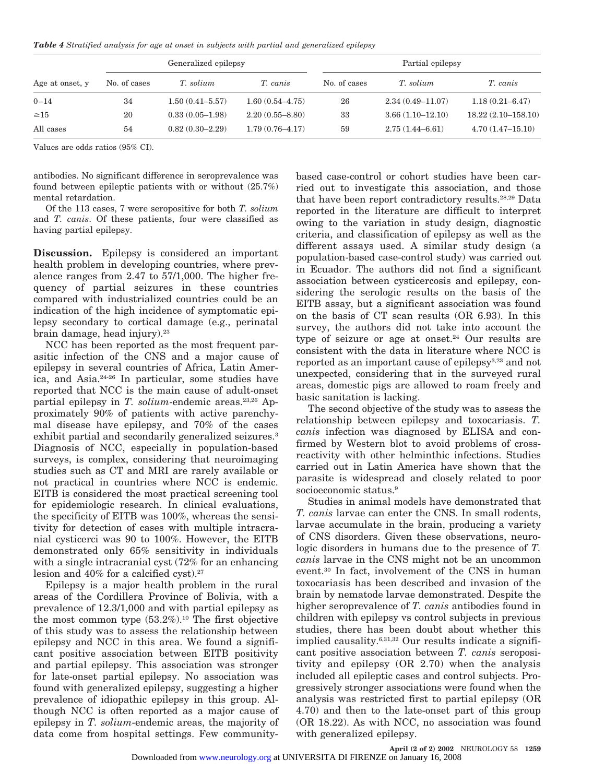*Table 4 Stratified analysis for age at onset in subjects with partial and generalized epilepsy*

|                 | Generalized epilepsy |                     |                     | Partial epilepsy |                      |                        |
|-----------------|----------------------|---------------------|---------------------|------------------|----------------------|------------------------|
| Age at onset, y | No. of cases         | T. solium           | T. canis            | No. of cases     | T. solium            | T. canis               |
| $0 - 14$        | 34                   | $1.50(0.41 - 5.57)$ | $1.60(0.54 - 4.75)$ | 26               | $2.34(0.49 - 11.07)$ | $1.18(0.21 - 6.47)$    |
| $\geq 15$       | 20                   | $0.33(0.05-1.98)$   | $2.20(0.55 - 8.80)$ | 33               | $3.66(1.10-12.10)$   | $18.22(2.10 - 158.10)$ |
| All cases       | 54                   | $0.82(0.30 - 2.29)$ | $1.79(0.76 - 4.17)$ | 59               | $2.75(1.44 - 6.61)$  | $4.70(1.47-15.10)$     |

Values are odds ratios (95% CI).

antibodies. No significant difference in seroprevalence was found between epileptic patients with or without (25.7%) mental retardation.

Of the 113 cases, 7 were seropositive for both *T. solium* and *T. canis*. Of these patients, four were classified as having partial epilepsy.

**Discussion.** Epilepsy is considered an important health problem in developing countries, where prevalence ranges from 2.47 to 57/1,000. The higher frequency of partial seizures in these countries compared with industrialized countries could be an indication of the high incidence of symptomatic epilepsy secondary to cortical damage (e.g., perinatal brain damage, head injury).23

NCC has been reported as the most frequent parasitic infection of the CNS and a major cause of epilepsy in several countries of Africa, Latin America, and Asia.24-26 In particular, some studies have reported that NCC is the main cause of adult-onset partial epilepsy in *T. solium*-endemic areas.<sup>23,26</sup> Approximately 90% of patients with active parenchymal disease have epilepsy, and 70% of the cases exhibit partial and secondarily generalized seizures.<sup>3</sup> Diagnosis of NCC, especially in population-based surveys, is complex, considering that neuroimaging studies such as CT and MRI are rarely available or not practical in countries where NCC is endemic. EITB is considered the most practical screening tool for epidemiologic research. In clinical evaluations, the specificity of EITB was 100%, whereas the sensitivity for detection of cases with multiple intracranial cysticerci was 90 to 100%. However, the EITB demonstrated only 65% sensitivity in individuals with a single intracranial cyst (72% for an enhancing lesion and  $40\%$  for a calcified cyst).<sup>27</sup>

Epilepsy is a major health problem in the rural areas of the Cordillera Province of Bolivia, with a prevalence of 12.3/1,000 and with partial epilepsy as the most common type  $(53.2\%)$ .<sup>10</sup> The first objective of this study was to assess the relationship between epilepsy and NCC in this area. We found a significant positive association between EITB positivity and partial epilepsy. This association was stronger for late-onset partial epilepsy. No association was found with generalized epilepsy, suggesting a higher prevalence of idiopathic epilepsy in this group. Although NCC is often reported as a major cause of epilepsy in *T. solium*-endemic areas, the majority of data come from hospital settings. Few communitybased case-control or cohort studies have been carried out to investigate this association, and those that have been report contradictory results.28,29 Data reported in the literature are difficult to interpret owing to the variation in study design, diagnostic criteria, and classification of epilepsy as well as the different assays used. A similar study design (a population-based case-control study) was carried out in Ecuador. The authors did not find a significant association between cysticercosis and epilepsy, considering the serologic results on the basis of the EITB assay, but a significant association was found on the basis of CT scan results (OR 6.93). In this survey, the authors did not take into account the type of seizure or age at onset. $24$  Our results are consistent with the data in literature where NCC is reported as an important cause of epilepsy3,23 and not unexpected, considering that in the surveyed rural areas, domestic pigs are allowed to roam freely and basic sanitation is lacking.

The second objective of the study was to assess the relationship between epilepsy and toxocariasis. *T. canis* infection was diagnosed by ELISA and confirmed by Western blot to avoid problems of crossreactivity with other helminthic infections. Studies carried out in Latin America have shown that the parasite is widespread and closely related to poor socioeconomic status.<sup>9</sup>

Studies in animal models have demonstrated that *T. canis* larvae can enter the CNS. In small rodents, larvae accumulate in the brain, producing a variety of CNS disorders. Given these observations, neurologic disorders in humans due to the presence of *T. canis* larvae in the CNS might not be an uncommon event.30 In fact, involvement of the CNS in human toxocariasis has been described and invasion of the brain by nematode larvae demonstrated. Despite the higher seroprevalence of *T. canis* antibodies found in children with epilepsy vs control subjects in previous studies, there has been doubt about whether this implied causality.6,31,32 Our results indicate a significant positive association between *T. canis* seropositivity and epilepsy (OR 2.70) when the analysis included all epileptic cases and control subjects. Progressively stronger associations were found when the analysis was restricted first to partial epilepsy (OR 4.70) and then to the late-onset part of this group (OR 18.22). As with NCC, no association was found with generalized epilepsy.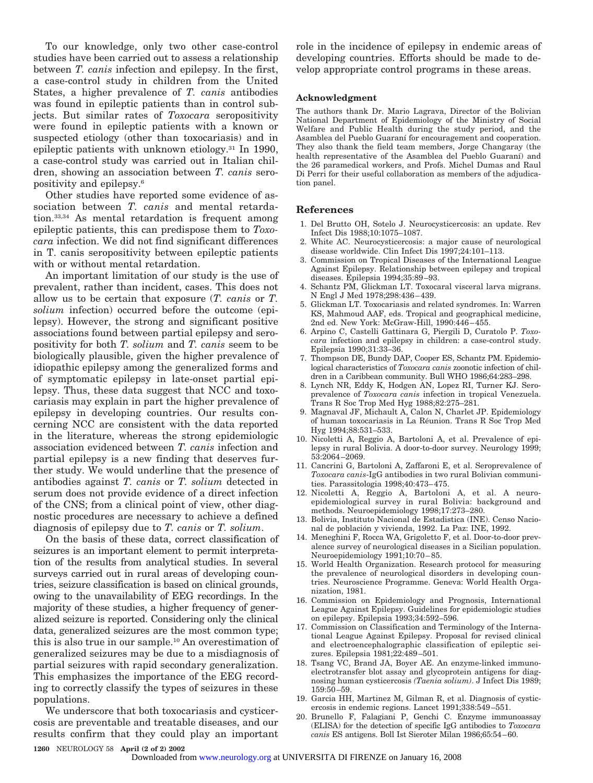To our knowledge, only two other case-control studies have been carried out to assess a relationship between *T. canis* infection and epilepsy. In the first, a case-control study in children from the United States, a higher prevalence of *T. canis* antibodies was found in epileptic patients than in control subjects. But similar rates of *Toxocara* seropositivity were found in epileptic patients with a known or suspected etiology (other than toxocariasis) and in epileptic patients with unknown etiology.31 In 1990, a case-control study was carried out in Italian children, showing an association between *T. canis* seropositivity and epilepsy.6

Other studies have reported some evidence of association between *T. canis* and mental retardation.33,34 As mental retardation is frequent among epileptic patients, this can predispose them to *Toxocara* infection. We did not find significant differences in T. canis seropositivity between epileptic patients with or without mental retardation.

An important limitation of our study is the use of prevalent, rather than incident, cases. This does not allow us to be certain that exposure (*T. canis* or *T. solium* infection) occurred before the outcome (epilepsy). However, the strong and significant positive associations found between partial epilepsy and seropositivity for both *T. solium* and *T. canis* seem to be biologically plausible, given the higher prevalence of idiopathic epilepsy among the generalized forms and of symptomatic epilepsy in late-onset partial epilepsy. Thus, these data suggest that NCC and toxocariasis may explain in part the higher prevalence of epilepsy in developing countries. Our results concerning NCC are consistent with the data reported in the literature, whereas the strong epidemiologic association evidenced between *T. canis* infection and partial epilepsy is a new finding that deserves further study. We would underline that the presence of antibodies against *T. canis* or *T. solium* detected in serum does not provide evidence of a direct infection of the CNS; from a clinical point of view, other diagnostic procedures are necessary to achieve a defined diagnosis of epilepsy due to *T. canis* or *T. solium*.

On the basis of these data, correct classification of seizures is an important element to permit interpretation of the results from analytical studies. In several surveys carried out in rural areas of developing countries, seizure classification is based on clinical grounds, owing to the unavailability of EEG recordings. In the majority of these studies, a higher frequency of generalized seizure is reported. Considering only the clinical data, generalized seizures are the most common type; this is also true in our sample.10 An overestimation of generalized seizures may be due to a misdiagnosis of partial seizures with rapid secondary generalization. This emphasizes the importance of the EEG recording to correctly classify the types of seizures in these populations.

We underscore that both toxocariasis and cysticercosis are preventable and treatable diseases, and our results confirm that they could play an important role in the incidence of epilepsy in endemic areas of developing countries. Efforts should be made to develop appropriate control programs in these areas.

#### **Acknowledgment**

The authors thank Dr. Mario Lagrava, Director of the Bolivian National Department of Epidemiology of the Ministry of Social Welfare and Public Health during the study period, and the Asamblea del Pueblo Guaraní for encouragement and cooperation. They also thank the field team members, Jorge Changaray (the health representative of the Asamblea del Pueblo Guaraní) and the 26 paramedical workers, and Profs. Michel Dumas and Raul Di Perri for their useful collaboration as members of the adjudication panel.

#### **References**

- 1. Del Brutto OH, Sotelo J. Neurocysticercosis: an update. Rev Infect Dis 1988;10:1075–1087.
- 2. White AC. Neurocysticercosis: a major cause of neurological disease worldwide. Clin Infect Dis 1997;24:101–113.
- 3. Commission on Tropical Diseases of the International League Against Epilepsy. Relationship between epilepsy and tropical diseases. Epilepsia 1994;35:89–93.
- 4. Schantz PM, Glickman LT. Toxocaral visceral larva migrans. N Engl J Med 1978;298:436–439.
- 5. Glickman LT. Toxocariasis and related syndromes. In: Warren KS, Mahmoud AAF, eds. Tropical and geographical medicine, 2nd ed. New York: McGraw-Hill, 1990:446–455.
- 6. Arpino C, Castelli Gattinara G, Piergili D, Curatolo P. *Toxocara* infection and epilepsy in children: a case-control study. Epilepsia 1990;31:33–36.
- 7. Thompson DE, Bundy DAP, Cooper ES, Schantz PM. Epidemiological characteristics of *Toxocara canis* zoonotic infection of children in a Caribbean community. Bull WHO 1986;64:283–298.
- 8. Lynch NR, Eddy K, Hodgen AN, Lopez RI, Turner KJ. Seroprevalence of *Toxocara canis* infection in tropical Venezuela. Trans R Soc Trop Med Hyg 1988;82:275–281.
- 9. Magnaval JF, Michault A, Calon N, Charlet JP. Epidemiology of human toxocariasis in La Réunion. Trans R Soc Trop Med Hyg 1994;88:531–533.
- Nicoletti A, Reggio A, Bartoloni A, et al. Prevalence of epilepsy in rural Bolivia. A door-to-door survey. Neurology 1999; 53:2064–2069.
- 11. Cancrini G, Bartoloni A, Zaffaroni E, et al. Seroprevalence of *Toxocara canis*-IgG antibodies in two rural Bolivian communities. Parassitologia 1998;40:473–475.
- 12. Nicoletti A, Reggio A, Bartoloni A, et al. A neuroepidemiological survey in rural Bolivia: background and methods. Neuroepidemiology 1998;17:273–280.
- 13. Bolivia, Instituto Nacional de Estadistica (INE). Censo Nacional de población y vivienda, 1992. La Paz: INE, 1992.
- 14. Meneghini F, Rocca WA, Grigoletto F, et al. Door-to-door prevalence survey of neurological diseases in a Sicilian population. Neuroepidemiology 1991;10:70–85.
- 15. World Health Organization. Research protocol for measuring the prevalence of neurological disorders in developing countries. Neuroscience Programme. Geneva: World Health Organization, 1981.
- 16. Commission on Epidemiology and Prognosis, International League Against Epilepsy. Guidelines for epidemiologic studies on epilepsy. Epilepsia 1993;34:592–596.
- 17. Commission on Classification and Terminology of the International League Against Epilepsy. Proposal for revised clinical and electroencephalographic classification of epileptic seizures. Epilepsia 1981;22:489–501.
- 18. Tsang VC, Brand JA, Boyer AE. An enzyme-linked immunoelectrotransfer blot assay and glycoprotein antigens for diagnosing human cysticercosis *(Taenia solium)*. J Infect Dis 1989; 159:50–59.
- 19. Garcia HH, Martinez M, Gilman R, et al. Diagnosis of cysticercosis in endemic regions. Lancet 1991;338:549–551.
- 20. Brunello F, Falagiani P, Genchi C. Enzyme immunoassay (ELISA) for the detection of specific IgG antibodies to *Toxocara canis* ES antigens. Boll Ist Sieroter Milan 1986;65:54–60.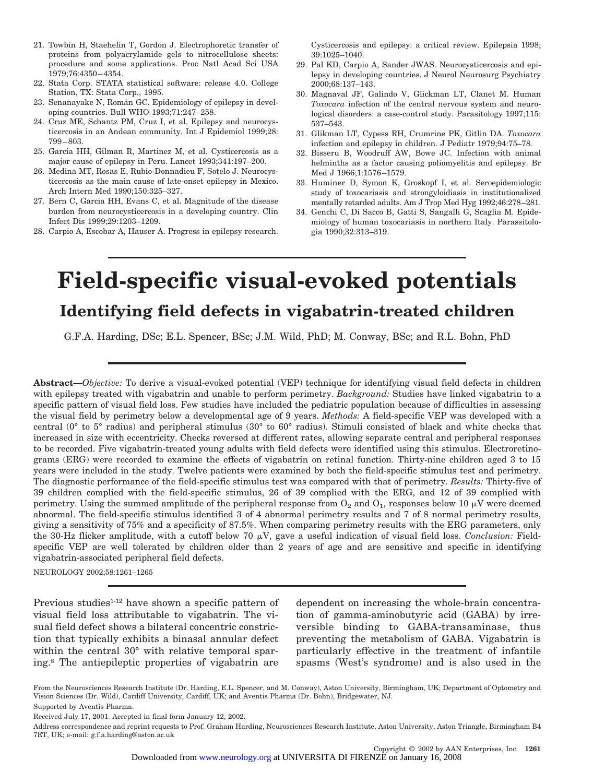- 21. Towbin H, Staehelin T, Gordon J. Electrophoretic transfer of proteins from polyacrylamide gels to nitrocellulose sheets: procedure and some applications. Proc Natl Acad Sci USA 1979;76:4350–4354.
- 22. Stata Corp. STATA statistical software: release 4.0. College Station, TX: Stata Corp., 1995.
- 23. Senanayake N, Román GC. Epidemiology of epilepsy in developing countries. Bull WHO 1993;71:247–258.
- 24. Cruz ME, Schantz PM, Cruz I, et al. Epilepsy and neurocysticercosis in an Andean community. Int J Epidemiol 1999;28: 799–803.
- 25. Garcia HH, Gilman R, Martinez M, et al. Cysticercosis as a major cause of epilepsy in Peru. Lancet 1993;341:197–200.
- 26. Medina MT, Rosas E, Rubio-Donnadieu F, Sotelo J. Neurocysticercosis as the main cause of late-onset epilepsy in Mexico. Arch Intern Med 1990;150:325–327.
- 27. Bern C, Garcia HH, Evans C, et al. Magnitude of the disease burden from neurocysticercosis in a developing country. Clin Infect Dis 1999;29:1203–1209.
- 28. Carpio A, Escobar A, Hauser A. Progress in epilepsy research.

Cysticercosis and epilepsy: a critical review. Epilepsia 1998; 39:1025–1040.

- 29. Pal KD, Carpio A, Sander JWAS. Neurocysticercosis and epilepsy in developing countries. J Neurol Neurosurg Psychiatry 2000;68:137–143.
- 30. Magnaval JF, Galindo V, Glickman LT, Clanet M. Human *Toxocara* infection of the central nervous system and neurological disorders: a case-control study. Parasitology 1997;115: 537–543.
- 31. Glikman LT, Cypess RH, Crumrine PK, Gitlin DA. *Toxocara* infection and epilepsy in children. J Pediatr 1979;94:75–78.
- 32. Bisseru B, Woodruff AW, Bowe JC. Infection with animal helminths as a factor causing poliomyelitis and epilepsy. Br Med J 1966;1:1576–1579.
- 33. Huminer D, Symon K, Groskopf I, et al. Seroepidemiologic study of toxocariasis and strongyloidiasis in institutionalized mentally retarded adults. Am J Trop Med Hyg 1992;46:278–281.
- 34. Genchi C, Di Sacco B, Gatti S, Sangalli G, Scaglia M. Epidemiology of human toxocariasis in northern Italy. Parassitologia 1990;32:313–319.

# **Field-specific visual-evoked potentials Identifying field defects in vigabatrin-treated children**

G.F.A. Harding, DSc; E.L. Spencer, BSc; J.M. Wild, PhD; M. Conway, BSc; and R.L. Bohn, PhD

**Abstract—***Objective:* To derive a visual-evoked potential (VEP) technique for identifying visual field defects in children with epilepsy treated with vigabatrin and unable to perform perimetry. *Background:* Studies have linked vigabatrin to a specific pattern of visual field loss. Few studies have included the pediatric population because of difficulties in assessing the visual field by perimetry below a developmental age of 9 years. *Methods:* A field-specific VEP was developed with a central (0° to 5° radius) and peripheral stimulus (30° to 60° radius). Stimuli consisted of black and white checks that increased in size with eccentricity. Checks reversed at different rates, allowing separate central and peripheral responses to be recorded. Five vigabatrin-treated young adults with field defects were identified using this stimulus. Electroretinograms (ERG) were recorded to examine the effects of vigabatrin on retinal function. Thirty-nine children aged 3 to 15 years were included in the study. Twelve patients were examined by both the field-specific stimulus test and perimetry. The diagnostic performance of the field-specific stimulus test was compared with that of perimetry. *Results:* Thirty-five of 39 children complied with the field-specific stimulus, 26 of 39 complied with the ERG, and 12 of 39 complied with perimetry. Using the summed amplitude of the peripheral response from  $O_2$  and  $O_1$ , responses below 10  $\mu$ V were deemed abnormal. The field-specific stimulus identified 3 of 4 abnormal perimetry results and 7 of 8 normal perimetry results, giving a sensitivity of 75% and a specificity of 87.5%. When comparing perimetry results with the ERG parameters, only the 30-Hz flicker amplitude, with a cutoff below 70  $\mu$ V, gave a useful indication of visual field loss. *Conclusion*: Fieldspecific VEP are well tolerated by children older than 2 years of age and are sensitive and specific in identifying vigabatrin-associated peripheral field defects.

NEUROLOGY 2002;58:1261–1265

Previous studies<sup>1-12</sup> have shown a specific pattern of visual field loss attributable to vigabatrin. The visual field defect shows a bilateral concentric constriction that typically exhibits a binasal annular defect within the central 30° with relative temporal sparing.8 The antiepileptic properties of vigabatrin are

dependent on increasing the whole-brain concentration of gamma-aminobutyric acid (GABA) by irreversible binding to GABA-transaminase, thus preventing the metabolism of GABA. Vigabatrin is particularly effective in the treatment of infantile spasms (West's syndrome) and is also used in the

From the Neurosciences Research Institute (Dr. Harding, E.L. Spencer, and M. Conway), Aston University, Birmingham, UK; Department of Optometry and Vision Sciences (Dr. Wild), Cardiff University, Cardiff, UK; and Aventis Pharma (Dr. Bohn), Bridgewater, NJ. Supported by Aventis Pharma.

Received July 17, 2001. Accepted in final form January 12, 2002.

Address correspondence and reprint requests to Prof. Graham Harding, Neurosciences Research Institute, Aston University, Aston Triangle, Birmingham B4 7ET, UK; e-mail: g.f.a.harding@aston.ac.uk